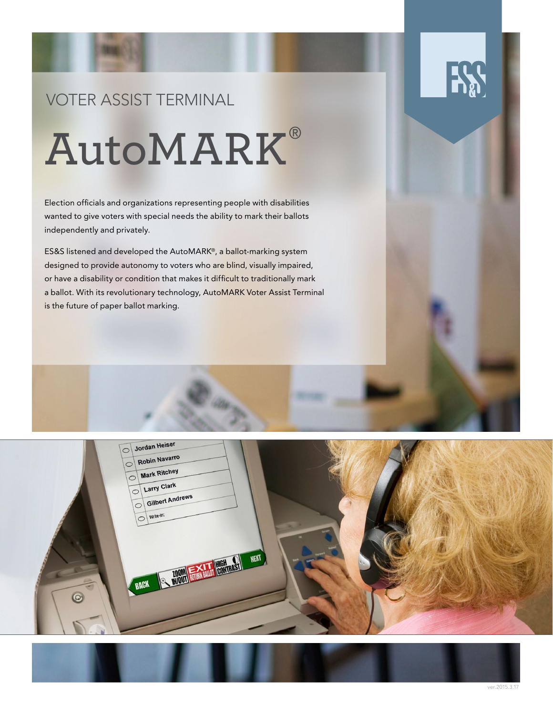# VOTER ASSIST TERMINAL **AutoMARK**

Election officials and organizations representing people with disabilities wanted to give voters with special needs the ability to mark their ballots independently and privately.

ES&S listened and developed the AutoMARK®, a ballot-marking system designed to provide autonomy to voters who are blind, visually impaired, or have a disability or condition that makes it difficult to traditionally mark a ballot. With its revolutionary technology, AutoMARK Voter Assist Terminal is the future of paper ballot marking.

 $\odot$ 

### Jordan Heiser  $\circ$ Robin Navarro Mark Ritchey Larry Clark Gilbert Andrews  $\circ$ write-in: **NEXT RACK**



**HA**